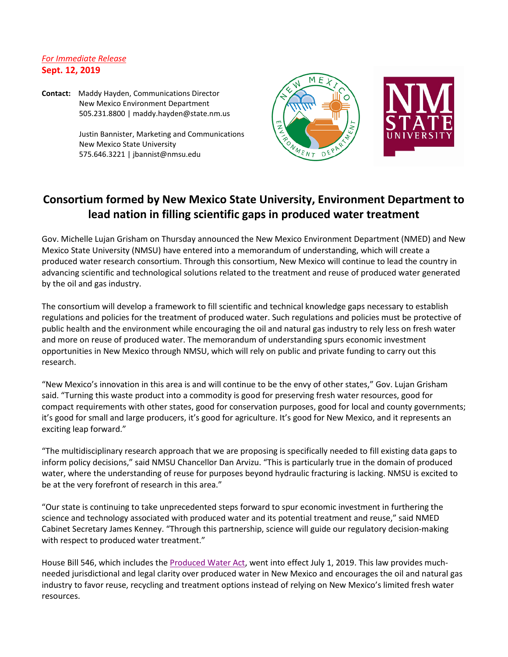## *For Immediate Release* **Sept. 12, 2019**

**Contact:** Maddy Hayden, Communications Director New Mexico Environment Department 505.231.8800 | maddy.hayden@state.nm.us

> Justin Bannister, Marketing and Communications New Mexico State University 575.646.3221 | jbannist@nmsu.edu



## **Consortium formed by New Mexico State University, Environment Department to lead nation in filling scientific gaps in produced water treatment**

Gov. Michelle Lujan Grisham on Thursday announced the New Mexico Environment Department (NMED) and New Mexico State University (NMSU) have entered into a memorandum of understanding, which will create a produced water research consortium. Through this consortium, New Mexico will continue to lead the country in advancing scientific and technological solutions related to the treatment and reuse of produced water generated by the oil and gas industry.

The consortium will develop a framework to fill scientific and technical knowledge gaps necessary to establish regulations and policies for the treatment of produced water. Such regulations and policies must be protective of public health and the environment while encouraging the oil and natural gas industry to rely less on fresh water and more on reuse of produced water. The memorandum of understanding spurs economic investment opportunities in New Mexico through NMSU, which will rely on public and private funding to carry out this research.

"New Mexico's innovation in this area is and will continue to be the envy of other states," Gov. Lujan Grisham said. "Turning this waste product into a commodity is good for preserving fresh water resources, good for compact requirements with other states, good for conservation purposes, good for local and county governments; it's good for small and large producers, it's good for agriculture. It's good for New Mexico, and it represents an exciting leap forward."

"The multidisciplinary research approach that we are proposing is specifically needed to fill existing data gaps to inform policy decisions," said NMSU Chancellor Dan Arvizu. "This is particularly true in the domain of produced water, where the understanding of reuse for purposes beyond hydraulic fracturing is lacking. NMSU is excited to be at the very forefront of research in this area."

"Our state is continuing to take unprecedented steps forward to spur economic investment in furthering the science and technology associated with produced water and its potential treatment and reuse," said NMED Cabinet Secretary James Kenney. "Through this partnership, science will guide our regulatory decision-making with respect to produced water treatment."

House Bill 546, which includes the [Produced Water Act,](https://www.nmlegis.gov/Sessions/19%20Regular/final/HB0546.pdf) went into effect July 1, 2019. This law provides muchneeded jurisdictional and legal clarity over produced water in New Mexico and encourages the oil and natural gas industry to favor reuse, recycling and treatment options instead of relying on New Mexico's limited fresh water resources.